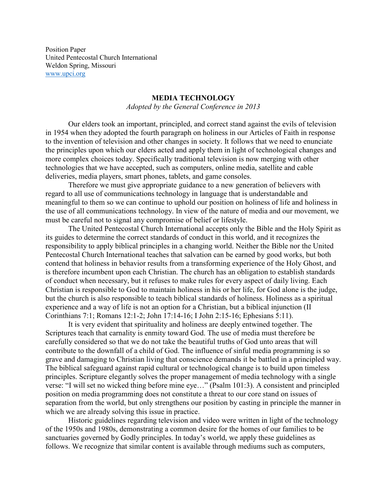Position Paper United Pentecostal Church International Weldon Spring, Missouri [www.upci.org](http://www.upci.org/)

## **MEDIA TECHNOLOGY**

*Adopted by the General Conference in 2013*

Our elders took an important, principled, and correct stand against the evils of television in 1954 when they adopted the fourth paragraph on holiness in our Articles of Faith in response to the invention of television and other changes in society. It follows that we need to enunciate the principles upon which our elders acted and apply them in light of technological changes and more complex choices today. Specifically traditional television is now merging with other technologies that we have accepted, such as computers, online media, satellite and cable deliveries, media players, smart phones, tablets, and game consoles.

Therefore we must give appropriate guidance to a new generation of believers with regard to all use of communications technology in language that is understandable and meaningful to them so we can continue to uphold our position on holiness of life and holiness in the use of all communications technology. In view of the nature of media and our movement, we must be careful not to signal any compromise of belief or lifestyle.

The United Pentecostal Church International accepts only the Bible and the Holy Spirit as its guides to determine the correct standards of conduct in this world, and it recognizes the responsibility to apply biblical principles in a changing world. Neither the Bible nor the United Pentecostal Church International teaches that salvation can be earned by good works, but both contend that holiness in behavior results from a transforming experience of the Holy Ghost, and is therefore incumbent upon each Christian. The church has an obligation to establish standards of conduct when necessary, but it refuses to make rules for every aspect of daily living. Each Christian is responsible to God to maintain holiness in his or her life, for God alone is the judge, but the church is also responsible to teach biblical standards of holiness. Holiness as a spiritual experience and a way of life is not an option for a Christian, but a biblical injunction (II Corinthians 7:1; Romans 12:1-2; John 17:14-16; I John 2:15-16; Ephesians 5:11).

It is very evident that spirituality and holiness are deeply entwined together. The Scriptures teach that carnality is enmity toward God. The use of media must therefore be carefully considered so that we do not take the beautiful truths of God unto areas that will contribute to the downfall of a child of God. The influence of sinful media programming is so grave and damaging to Christian living that conscience demands it be battled in a principled way. The biblical safeguard against rapid cultural or technological change is to build upon timeless principles. Scripture elegantly solves the proper management of media technology with a single verse: "I will set no wicked thing before mine eye…" (Psalm 101:3). A consistent and principled position on media programming does not constitute a threat to our core stand on issues of separation from the world, but only strengthens our position by casting in principle the manner in which we are already solving this issue in practice.

Historic guidelines regarding television and video were written in light of the technology of the 1950s and 1980s, demonstrating a common desire for the homes of our families to be sanctuaries governed by Godly principles. In today's world, we apply these guidelines as follows. We recognize that similar content is available through mediums such as computers,